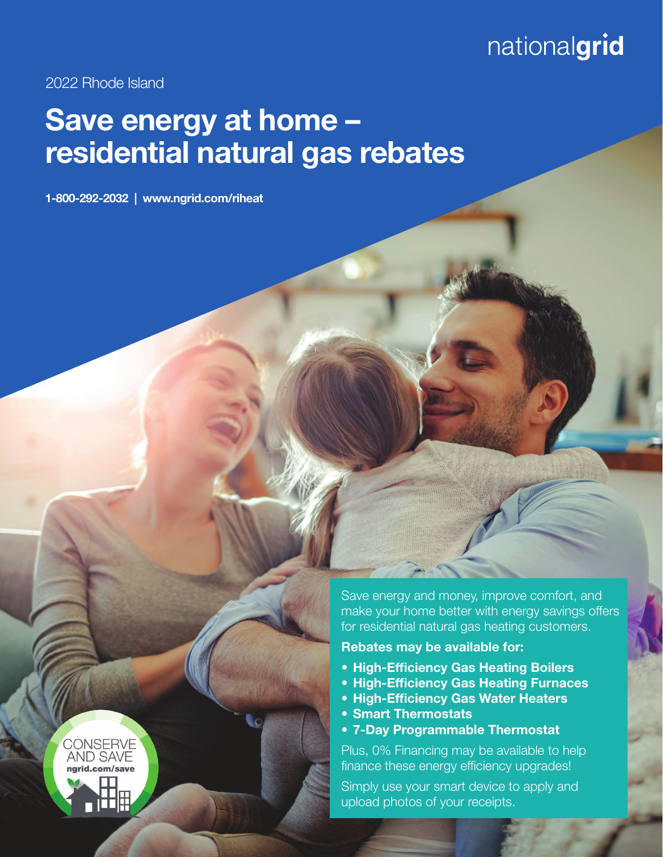# nationalgrid

2022 Rhode Island

**CONSERVE AND SAVE** ngrid.com/save

# Save energy at home – residential natural gas rebates

1-800-292-2032 | www.ngrid.com/riheat

Save energy and money, improve comfort, and make your home better with energy savings offers for residential natural gas heating customers.

Rebates may be available for:

- High-Efficiency Gas Heating Boilers
- High-Efficiency Gas Heating Furnaces
- High-Efficiency Gas Water Heaters
- Smart Thermostats
- 7-Day Programmable Thermostat

Plus, 0% Financing may be available to help finance these energy efficiency upgrades!

Simply use your smart device to apply and upload photos of your receipts.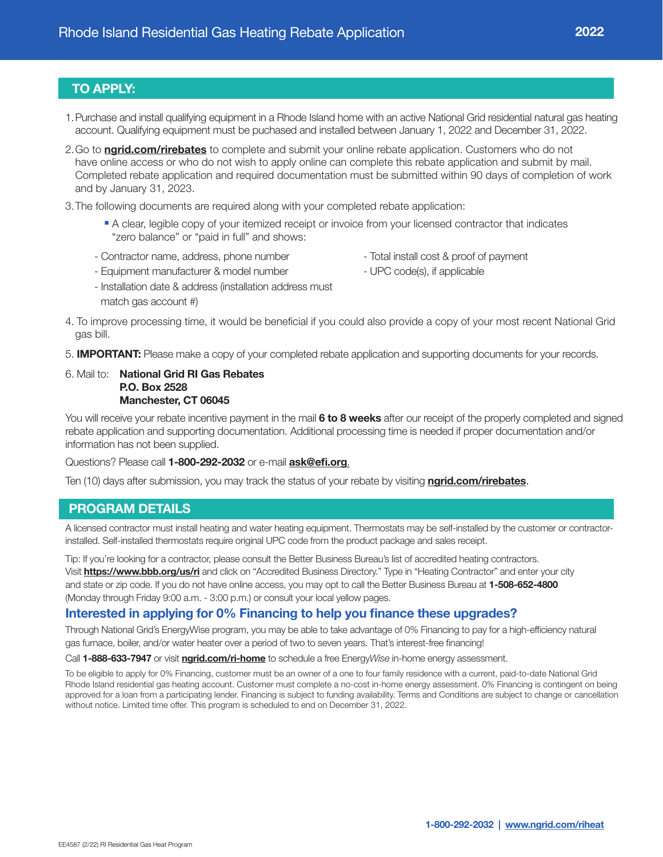# TO APPLY:

- 1. Purchase and install qualifying equipment in a Rhode Island home with an active National Grid residential natural gas heating account. Qualifying equipment must be puchased and installed between January 1, 2022 and December 31, 2022.
- 2. Go to ngrid.com/rirebates to complete and submit your online rebate application. Customers who do not have online access or who do not wish to apply online can complete this rebate application and submit by mail. Completed rebate application and required documentation must be submitted within 90 days of completion of work and by January 31, 2023.
- 3. The following documents are required along with your completed rebate application:
	- <sup>n</sup> A clear, legible copy of your itemized receipt or invoice from your licensed contractor that indicates "zero balance" or "paid in full" and shows:
	- Contractor name, address, phone number
- Total install cost & proof of payment

- UPC code(s), if applicable

- Equipment manufacturer & model number
- Installation date & address (installation address must
- match gas account #)
- 4. To improve processing time, it would be beneficial if you could also provide a copy of your most recent National Grid gas bill.
- 5. IMPORTANT: Please make a copy of your completed rebate application and supporting documents for your records.

#### 6. Mail to: National Grid RI Gas Rebates P.O. Box 2528 Manchester, CT 06045

You will receive your rebate incentive payment in the mail 6 to 8 weeks after our receipt of the properly completed and signed rebate application and supporting documentation. Additional processing time is needed if proper documentation and/or information has not been supplied.

#### Questions? Please call 1-800-292-2032 or e-mail ask@efi.org.

Ten (10) days after submission, you may track the status of your rebate by visiting **ngrid.com/rirebates**.

#### PROGRAM DETAILS

A licensed contractor must install heating and water heating equipment. Thermostats may be self-installed by the customer or contractorinstalled. Self-installed thermostats require original UPC code from the product package and sales receipt.

Tip: If you're looking for a contractor, please consult the Better Business Bureau's list of accredited heating contractors. Visit https://www.bbb.org/us/ri and click on "Accredited Business Directory." Type in "Heating Contractor" and enter your city and state or zip code. If you do not have online access, you may opt to call the Better Business Bureau at 1-508-652-4800 (Monday through Friday 9:00 a.m. - 3:00 p.m.) or consult your local yellow pages.

### Interested in applying for 0% Financing to help you finance these upgrades?

Through National Grid's EnergyWise program, you may be able to take advantage of 0% Financing to pay for a high-efficiency natural gas furnace, boiler, and/or water heater over a period of two to seven years. That's interest-free financing!

Call 1-888-633-7947 or visit ngrid.com/ri-home to schedule a free EnergyWise in-home energy assessment.

To be eligible to apply for 0% Financing, customer must be an owner of a one to four family residence with a current, paid-to-date National Grid Rhode Island residential gas heating account. Customer must complete a no-cost in-home energy assessment. 0% Financing is contingent on being approved for a loan from a participating lender. Financing is subject to funding availability. Terms and Conditions are subject to change or cancellation without notice. Limited time offer. This program is scheduled to end on December 31, 2022.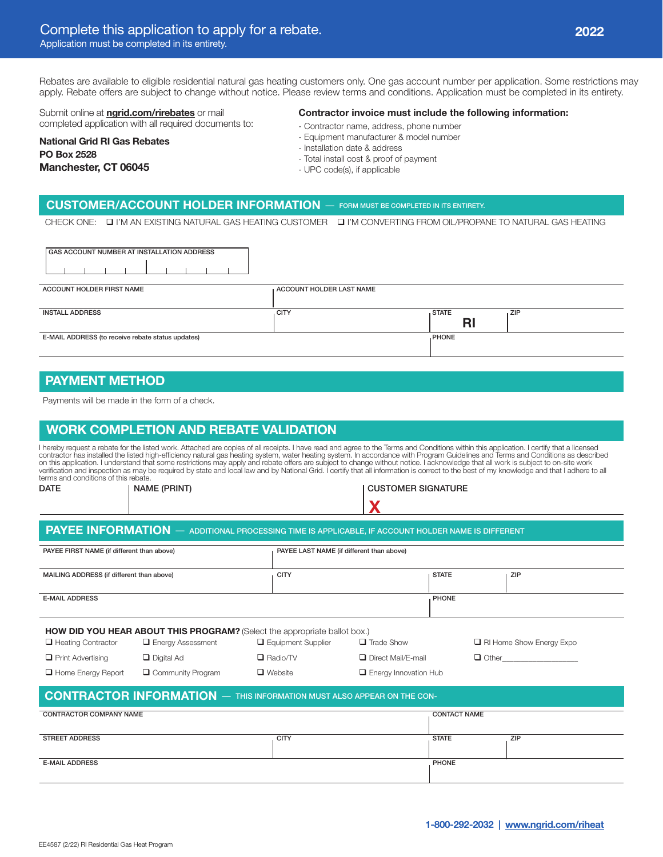Rebates are available to eligible residential natural gas heating customers only. One gas account number per application. Some restrictions may apply. Rebate offers are subject to change without notice. Please review terms and conditions. Application must be completed in its entirety.

Submit online at **ngrid.com/rirebates** or mail completed application with all required documents to:

#### Contractor invoice must include the following information:

National Grid RI Gas Rebates PO Box 2528 Manchester, CT 06045

- 
- 
- 
- 

#### CUSTOMER/ACCOUNT HOLDER INFORMATION — FORM MUST BE COMPLETED IN ITS ENTIRETY.

CHECK ONE: Q I'M AN EXISTING NATURAL GAS HEATING CUSTOMER Q I'M CONVERTING FROM OIL/PROPANE TO NATURAL GAS HEATING

| GAS ACCOUNT NUMBER AT INSTALLATION ADDRESS        |                          |                    |            |
|---------------------------------------------------|--------------------------|--------------------|------------|
| ACCOUNT HOLDER FIRST NAME                         | ACCOUNT HOLDER LAST NAME |                    |            |
| <b>INSTALL ADDRESS</b>                            | <b>CITY</b>              | <b>STATE</b><br>RI | <b>ZIP</b> |
| E-MAIL ADDRESS (to receive rebate status updates) |                          | <b>PHONE</b>       |            |

## PAYMENT METHOD

Payments will be made in the form of a check.

## WORK COMPLETION AND REBATE VALIDATION

l hereby request a rebate for the listed work. Attached are copies of all receipts. I have read and agree to the Terms and Conditions within this application. I certify that a licensed<br>contractor has installed the listed h terms and conditions of this rebate.

X DATE | NAME (PRINT) | NAME (PRINT) | NAME (PRINT) | CUSTOMER SIGNATURE

| PAYEE FIRST NAME (if different than above) |                                                                                  |                           | PAYEE LAST NAME (if different than above) |                     |                                 |  |  |  |
|--------------------------------------------|----------------------------------------------------------------------------------|---------------------------|-------------------------------------------|---------------------|---------------------------------|--|--|--|
| MAILING ADDRESS (if different than above)  |                                                                                  | <b>CITY</b>               |                                           | <b>STATE</b>        | ZIP                             |  |  |  |
| <b>E-MAIL ADDRESS</b>                      |                                                                                  |                           |                                           | <b>PHONE</b>        |                                 |  |  |  |
|                                            | <b>HOW DID YOU HEAR ABOUT THIS PROGRAM?</b> (Select the appropriate ballot box.) |                           |                                           |                     |                                 |  |  |  |
| $\Box$ Heating Contractor                  | $\Box$ Energy Assessment                                                         | $\Box$ Equipment Supplier | $\Box$ Trade Show                         |                     | $\Box$ RI Home Show Energy Expo |  |  |  |
| $\Box$ Print Advertising                   | $\Box$ Digital Ad                                                                | $\Box$ Radio/TV           | □ Direct Mail/E-mail                      |                     | $\Box$ Other $\Box$             |  |  |  |
| $\Box$ Home Energy Report                  | $\Box$ Community Program                                                         | $\Box$ Website            | $\Box$ Energy Innovation Hub              |                     |                                 |  |  |  |
|                                            | <b>CONTRACTOR INFORMATION</b> - THIS INFORMATION MUST ALSO APPEAR ON THE CON-    |                           |                                           |                     |                                 |  |  |  |
| <b>CONTRACTOR COMPANY NAME</b>             |                                                                                  |                           |                                           | <b>CONTACT NAME</b> |                                 |  |  |  |
| <b>STREET ADDRESS</b>                      |                                                                                  | <b>CITY</b>               |                                           | <b>STATE</b>        | ZIP                             |  |  |  |

E-MAIL ADDRESS PHONE CONTROL IN THE SERVICE OF THE SERVICE OF THE SERVICE OF THE SERVICE OF THE SERVICE OF THE SERVICE OF THE SERVICE OF THE SERVICE OF THE SERVICE OF THE SERVICE OF THE SERVICE OF THE SERVICE OF THE SERVIC

- Contractor name, address, phone number - Equipment manufacturer & model number
	-
	- Installation date & address
	- Total install cost & proof of payment
	- UPC code(s), if applicable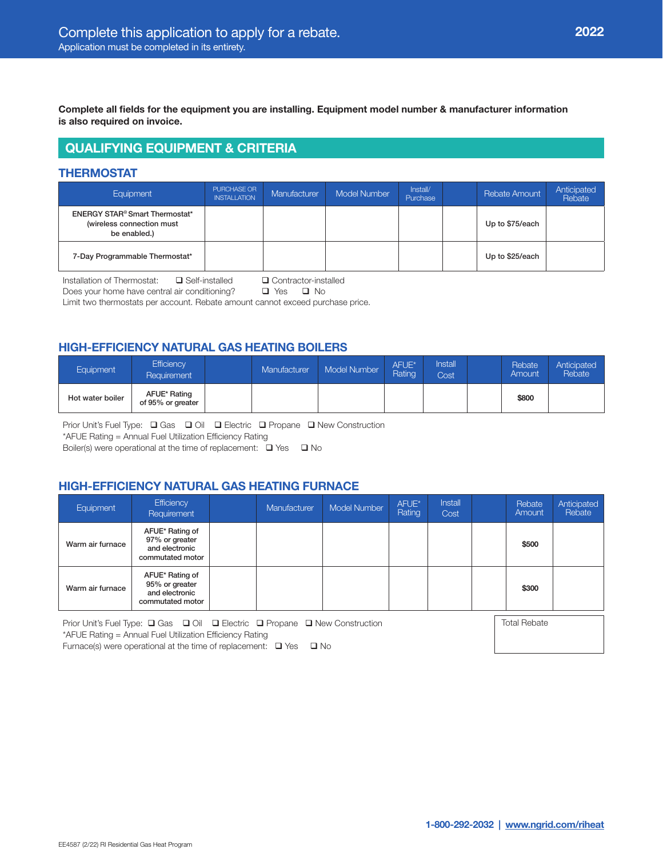Complete all fields for the equipment you are installing. Equipment model number & manufacturer information is also required on invoice.

# QUALIFYING EQUIPMENT & CRITERIA

### THERMOSTAT

| Equipment                                                                                     | PURCHASE OR<br><b>INSTALLATION</b> | Manufacturer | <b>Model Number</b> | Install/<br>Purchase | Rebate Amount   | Anticipated<br>Rebate |
|-----------------------------------------------------------------------------------------------|------------------------------------|--------------|---------------------|----------------------|-----------------|-----------------------|
| <b>ENERGY STAR<sup>®</sup> Smart Thermostat*</b><br>(wireless connection must<br>be enabled.) |                                    |              |                     |                      | Up to \$75/each |                       |
| 7-Day Programmable Thermostat*                                                                |                                    |              |                     |                      | Up to \$25/each |                       |

Installation of Thermostat:  $\Box$  Self-installed  $\Box$  Contractor-installed Does your home have central air conditional of  $\Box$  Contractor-installed Does your home have central air conditioning?

Limit two thermostats per account. Rebate amount cannot exceed purchase price.

## HIGH-EFFICIENCY NATURAL GAS HEATING BOILERS

| <b>Equipment</b> | Efficiency<br>Requirement         | Manufacturer | Model Number | AFUE*<br>Rating | <b>Install</b><br>Cost | Rebate<br>Amount | Anticipated<br>Rebate <sup>®</sup> |
|------------------|-----------------------------------|--------------|--------------|-----------------|------------------------|------------------|------------------------------------|
| Hot water boiler | AFUE* Rating<br>of 95% or greater |              |              |                 |                        | \$800            |                                    |

Prior Unit's Fuel Type:  $\Box$  Gas  $\Box$  Oil  $\Box$  Electric  $\Box$  Propane  $\Box$  New Construction

\*AFUE Rating = Annual Fuel Utilization Efficiency Rating

Boiler(s) were operational at the time of replacement:  $\Box$  Yes  $\Box$  No

## HIGH-EFFICIENCY NATURAL GAS HEATING FURNACE

| Equipment        | Efficiency<br>Requirement                                               | Manufacturer | <b>Model Number</b> | AFUE*<br>Rating | <b>Install</b><br>Cost | Rebate<br>Amount | Anticipated<br>Rebate |
|------------------|-------------------------------------------------------------------------|--------------|---------------------|-----------------|------------------------|------------------|-----------------------|
| Warm air furnace | AFUE* Rating of<br>97% or greater<br>and electronic<br>commutated motor |              |                     |                 |                        | \$500            |                       |
| Warm air furnace | AFUE* Rating of<br>95% or greater<br>and electronic<br>commutated motor |              |                     |                 |                        | \$300            |                       |

Prior Unit's Fuel Type: Q Gas Q Oil Q Electric Q Propane Q New Construction \*AFUE Rating = Annual Fuel Utilization Efficiency Rating

Total Rebate

Furnace(s) were operational at the time of replacement:  $\Box$  Yes  $\Box$  No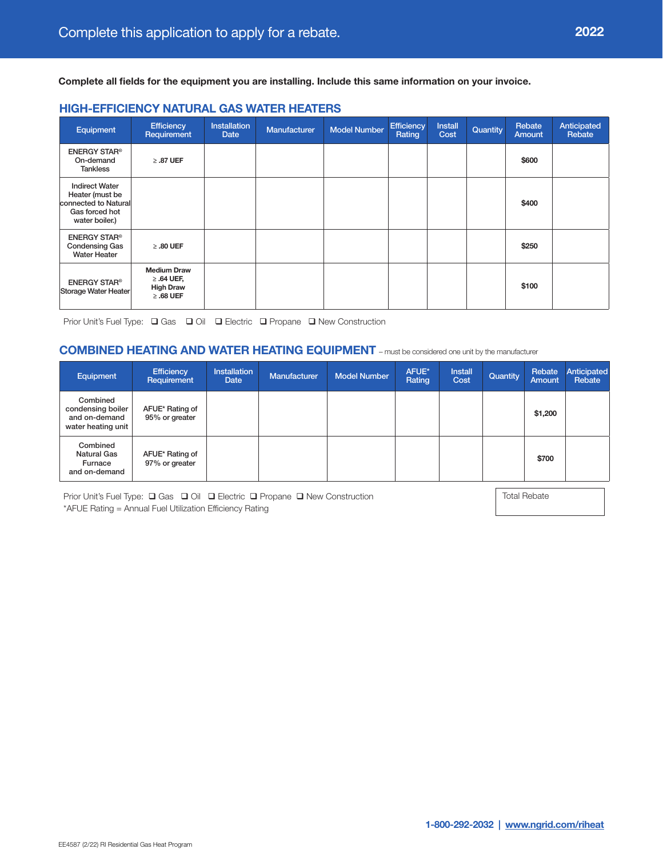Complete all fields for the equipment you are installing. Include this same information on your invoice.

#### HIGH-EFFICIENCY NATURAL GAS WATER HEATERS

| Equipment                                                                                            | Efficiency<br>Requirement                                                   | <b>Installation</b><br>Date | <b>Manufacturer</b> | <b>Model Number</b> | <b>Efficiency</b><br>Rating | <b>Install</b><br>Cost | Quantity | Rebate<br><b>Amount</b> | Anticipated<br>Rebate |
|------------------------------------------------------------------------------------------------------|-----------------------------------------------------------------------------|-----------------------------|---------------------|---------------------|-----------------------------|------------------------|----------|-------------------------|-----------------------|
| <b>ENERGY STAR®</b><br>On-demand<br><b>Tankless</b>                                                  | $\geq$ .87 UEF                                                              |                             |                     |                     |                             |                        |          | \$600                   |                       |
| <b>Indirect Water</b><br>Heater (must be<br>connected to Natural<br>Gas forced hot<br>water boiler.) |                                                                             |                             |                     |                     |                             |                        |          | \$400                   |                       |
| <b>ENERGY STAR®</b><br><b>Condensing Gas</b><br><b>Water Heater</b>                                  | $\geq$ .80 UEF                                                              |                             |                     |                     |                             |                        |          | \$250                   |                       |
| <b>ENERGY STAR®</b><br>Storage Water Heater                                                          | <b>Medium Draw</b><br>$\geq$ .64 UEF,<br><b>High Draw</b><br>$\geq$ .68 UEF |                             |                     |                     |                             |                        |          | \$100                   |                       |

Prior Unit's Fuel Type: Q Gas Q Oil Q Electric Q Propane Q New Construction

### COMBINED HEATING AND WATER HEATING EQUIPMENT – must be considered one unit by the manufacturer

| <b>Equipment</b>                                                     | <b>Efficiency</b><br>Requirement  | Installation<br>Date | <b>Manufacturer</b> | <b>Model Number</b> | AFUE*<br>Rating | <b>Install</b><br>Cost | Quantity | Rebate<br><b>Amount</b> | Anticipated<br>Rebate |
|----------------------------------------------------------------------|-----------------------------------|----------------------|---------------------|---------------------|-----------------|------------------------|----------|-------------------------|-----------------------|
| Combined<br>condensing boiler<br>and on-demand<br>water heating unit | AFUE* Rating of<br>95% or greater |                      |                     |                     |                 |                        |          | \$1,200                 |                       |
| Combined<br><b>Natural Gas</b><br>Furnace<br>and on-demand           | AFUE* Rating of<br>97% or greater |                      |                     |                     |                 |                        |          | \$700                   |                       |

Prior Unit's Fuel Type: Q Gas Q Oil Q Electric Q Propane Q New Construction \*AFUE Rating = Annual Fuel Utilization Efficiency Rating

Total Rebate